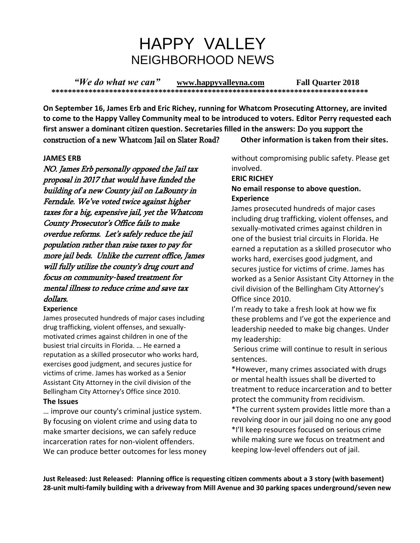# HAPPY VALLEY NEIGHBORHOOD NEWS

*"We do what we can"* **[www.happyvalleyna.com](http://www.happyvalleyna.com/) Fall Quarter 2018 \*\*\*\*\*\*\*\*\*\*\*\*\*\*\*\*\*\*\*\*\*\*\*\*\*\*\*\*\*\*\*\*\*\*\*\*\*\*\*\*\*\*\*\*\*\*\*\*\*\*\*\*\*\*\*\*\*\*\*\*\*\*\*\*\*\*\*\*\*\*\*\*\*\*\*\*\***

**On September 16, James Erb and Eric Richey, running for Whatcom Prosecuting Attorney, are invited to come to the Happy Valley Community meal to be introduced to voters. Editor Perry requested each first answer a dominant citizen question. Secretaries filled in the answers:** Do you support the construction of a new Whatcom Jail on Slater Road? **Other information is taken from their sites.**

#### **JAMES ERB**

NO. James Erb personally opposed the Jail tax proposal in 2017 that would have funded the building of a new County jail on LaBounty in Ferndale. We've voted twice against higher taxes for a big, expensive jail, yet the Whatcom County Prosecutor's Office fails to make overdue reforms. Let's safely reduce the jail population rather than raise taxes to pay for more jail beds. Unlike the current office, James will fully utilize the county's drug court and focus on community-based treatment for mental illness to reduce crime and save tax dollars.

#### **Experience**

James prosecuted hundreds of major cases including drug trafficking, violent offenses, and sexuallymotivated crimes against children in one of the busiest trial circuits in Florida. … He earned a reputation as a skilled prosecutor who works hard, exercises good judgment, and secures justice for victims of crime. James has worked as a Senior Assistant City Attorney in the civil division of the Bellingham City Attorney's Office since 2010.

#### **The Issues**

… improve our county's criminal justice system. By focusing on violent crime and using data to make smarter decisions, we can safely reduce incarceration rates for non-violent offenders. We can produce better outcomes for less money without compromising public safety. Please get involved.

#### **ERIC RICHEY**

#### **No email response to above question. Experience**

James prosecuted hundreds of major cases including drug trafficking, violent offenses, and sexually-motivated crimes against children in one of the busiest trial circuits in Florida. He earned a reputation as a skilled prosecutor who works hard, exercises good judgment, and secures justice for victims of crime. James has worked as a Senior Assistant City Attorney in the civil division of the Bellingham City Attorney's Office since 2010.

I'm ready to take a fresh look at how we fix these problems and I've got the experience and leadership needed to make big changes. Under my leadership:

Serious crime will continue to result in serious sentences.

\*However, many crimes associated with drugs or mental health issues shall be diverted to treatment to reduce incarceration and to better protect the community from recidivism.

\*The current system provides little more than a revolving door in our jail doing no one any good \*I'll keep resources focused on serious crime while making sure we focus on treatment and keeping low-level offenders out of jail.

**Just Released: Just Released: Planning office is requesting citizen comments about a 3 story (with basement) 28-unit multi-family building with a driveway from Mill Avenue and 30 parking spaces underground/seven new**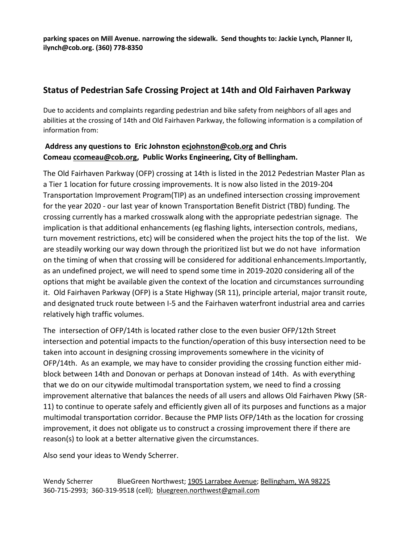**parking spaces on Mill Avenue. narrowing the sidewalk. Send thoughts to: Jackie Lynch, Planner II, ilynch@cob.org. (360) 778-8350**

### **Status of Pedestrian Safe Crossing Project at 14th and Old Fairhaven Parkway**

Due to accidents and complaints regarding pedestrian and bike safety from neighbors of all ages and abilities at the crossing of 14th and Old Fairhaven Parkway, the following information is a compilation of information from:

### **Address any questions to Eric Johnston [ecjohnston@cob.org](https://mail.google.com/mail/u/0/h/1y4n93xhvzej/?&cs=wh&v=b&to=ecjohnston@cob.org) and Chris Comeau [ccomeau@cob.org,](https://mail.google.com/mail/u/0/h/1y4n93xhvzej/?&cs=wh&v=b&to=ccomeau@cob.org) Public Works Engineering, City of Bellingham.**

The Old Fairhaven Parkway (OFP) crossing at 14th is listed in the 2012 Pedestrian Master Plan as a Tier 1 location for future crossing improvements. It is now also listed in the 2019-204 Transportation Improvement Program(TIP) as an undefined intersection crossing improvement for the year 2020 - our last year of known Transportation Benefit District (TBD) funding. The crossing currently has a marked crosswalk along with the appropriate pedestrian signage. The implication is that additional enhancements (eg flashing lights, intersection controls, medians, turn movement restrictions, etc) will be considered when the project hits the top of the list. We are steadily working our way down through the prioritized list but we do not have information on the timing of when that crossing will be considered for additional enhancements.Importantly, as an undefined project, we will need to spend some time in 2019-2020 considering all of the options that might be available given the context of the location and circumstances surrounding it. Old Fairhaven Parkway (OFP) is a State Highway (SR 11), principle arterial, major transit route, and designated truck route between I-5 and the Fairhaven waterfront industrial area and carries relatively high traffic volumes.

The intersection of OFP/14th is located rather close to the even busier OFP/12th Street intersection and potential impacts to the function/operation of this busy intersection need to be taken into account in designing crossing improvements somewhere in the vicinity of OFP/14th. As an example, we may have to consider providing the crossing function either midblock between 14th and Donovan or perhaps at Donovan instead of 14th. As with everything that we do on our citywide multimodal transportation system, we need to find a crossing improvement alternative that balances the needs of all users and allows Old Fairhaven Pkwy (SR-11) to continue to operate safely and efficiently given all of its purposes and functions as a major multimodal transportation corridor. Because the PMP lists OFP/14th as the location for crossing improvement, it does not obligate us to construct a crossing improvement there if there are reason(s) to look at a better alternative given the circumstances.

Also send your ideas to Wendy Scherrer.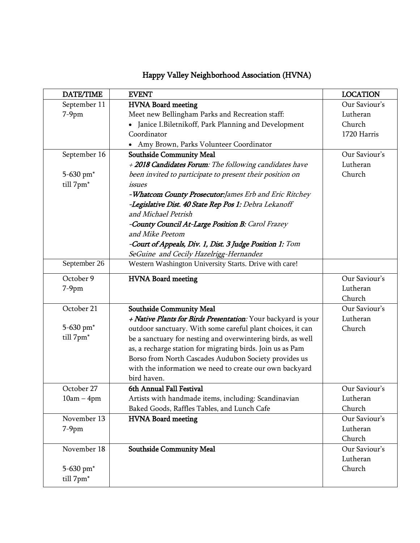| DATE/TIME             | <b>EVENT</b>                                                  | <b>LOCATION</b> |
|-----------------------|---------------------------------------------------------------|-----------------|
| September 11          | HVNA Board meeting                                            | Our Saviour's   |
| $7-9$ pm              | Meet new Bellingham Parks and Recreation staff:               | Lutheran        |
|                       | • Janice I. Biletnikoff, Park Planning and Development        | Church          |
|                       | Coordinator                                                   | 1720 Harris     |
|                       | • Amy Brown, Parks Volunteer Coordinator                      |                 |
| September 16          | <b>Southside Community Meal</b>                               | Our Saviour's   |
|                       | + 2018 Candidates Forum: The following candidates have        | Lutheran        |
| 5-630 pm <sup>*</sup> | been invited to participate to present their position on      | Church          |
| till 7pm*             | issues                                                        |                 |
|                       | -Whatcom County Prosecutor: James Erb and Eric Ritchey        |                 |
|                       | -Legislative Dist. 40 State Rep Pos 1: Debra Lekanoff         |                 |
|                       | and Michael Petrish                                           |                 |
|                       | -County Council At-Large Position B: Carol Frazey             |                 |
|                       | and Mike Peetom                                               |                 |
|                       | -Court of Appeals, Div. 1, Dist. 3 Judge Position 1: Tom      |                 |
|                       | SeGuine and Cecily Hazelrigg-Hernandez                        |                 |
| September 26          | Western Washington University Starts. Drive with care!        |                 |
| October 9             | <b>HVNA Board meeting</b>                                     | Our Saviour's   |
| $7-9$ pm              |                                                               | Lutheran        |
|                       |                                                               | Church          |
| October 21            | <b>Southside Community Meal</b>                               | Our Saviour's   |
|                       | + Native Plants for Birds Presentation: Your backyard is your | Lutheran        |
| 5-630 pm*             | outdoor sanctuary. With some careful plant choices, it can    | Church          |
| till 7pm*             | be a sanctuary for nesting and overwintering birds, as well   |                 |
|                       | as, a recharge station for migrating birds. Join us as Pam    |                 |
|                       | Borso from North Cascades Audubon Society provides us         |                 |
|                       | with the information we need to create our own backyard       |                 |
|                       | bird haven.                                                   |                 |
| October 27            | 6th Annual Fall Festival                                      | Our Saviour's   |
| $10am - 4pm$          | Artists with handmade items, including: Scandinavian          | Lutheran        |
|                       | Baked Goods, Raffles Tables, and Lunch Cafe                   | Church          |
| November 13           | <b>HVNA Board meeting</b>                                     | Our Saviour's   |
| $7-9$ pm              |                                                               | Lutheran        |
|                       |                                                               | Church          |
| November 18           | <b>Southside Community Meal</b>                               | Our Saviour's   |
|                       |                                                               | Lutheran        |
| 5-630 pm*             |                                                               | Church          |
| till 7pm*             |                                                               |                 |

# Happy Valley Neighborhood Association (HVNA)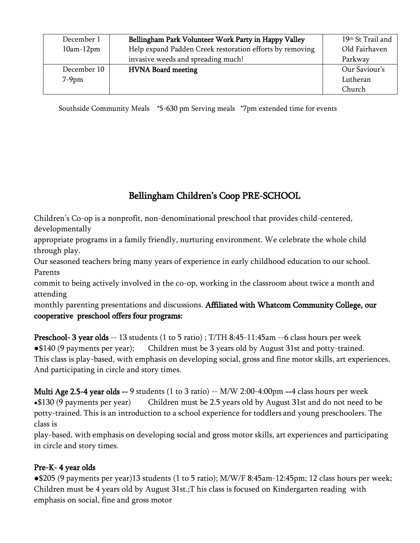| December 1<br>$10am-12pm$ | Bellingham Park Volunteer Work Party in Happy Valley<br>Help expand Padden Creek restoration efforts by removing | 19th St Trail and<br>Old Fairhaven |
|---------------------------|------------------------------------------------------------------------------------------------------------------|------------------------------------|
|                           | invasive weeds and spreading much!                                                                               | Parkway                            |
| December 10               | <b>HVNA Board meeting</b>                                                                                        | Our Saviour's                      |
| $7-9$ pm                  |                                                                                                                  | Lutheran                           |
|                           |                                                                                                                  | Church                             |

Southside Community Meals \*5-630 pm Serving meals \*7pm extended time for events

# Bellingham Children's Coop PRE-SCHOOL

Children's Co-op is a nonprofit, non-denominational preschool that provides child-centered, developmentally

appropriate programs in a family friendly, nurturing environment. We celebrate the whole child through play.

Our seasoned teachers bring many years of experience in early childhood education to our school. Parents

commit to being actively involved in the co-op, working in the classroom about twice a month and attending

monthly parenting presentations and discussions. Affiliated with Whatcom Community College, our cooperative preschool offers four programs:

Preschool- 3 year olds -- 13 students (1 to 5 ratio) ; T/TH 8:45-11:45am --6 class hours per week ●\$140 (9 payments per year); Children must be 3 years old by August 31st and potty-trained. This class is play-based, with emphasis on developing social, gross and fine motor skills, art experiences, And participating in circle and story times.

Multi Age 2.5-4 year olds -- 9 students (1 to 3 ratio) -- M/W 2:00-4:00pm --4 class hours per week •\$130 (9 payments per year) Children must be 2.5 years old by August 31st and do not need to be potty-trained. This is an introduction to a school experience for toddlers and young preschoolers. The class is

play-based, with emphasis on developing social and gross motor skills, art experiences and participating in circle and story times.

### Pre-K- 4 year olds

●\$205 (9 payments per year)13 students (1 to 5 ratio); M/W/F 8:45am-12:45pm; 12 class hours per week; Children must be 4 years old by August 31st.;T his class is focused on Kindergarten reading with emphasis on social, fine and gross motor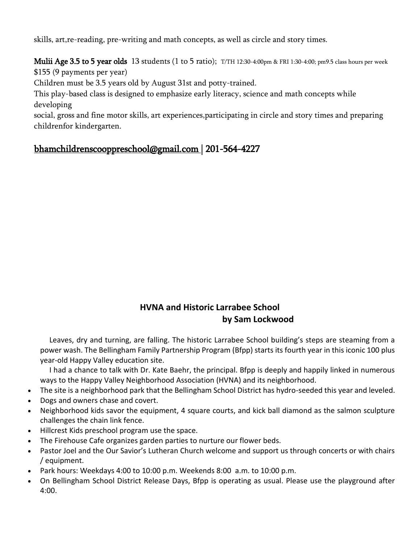skills, art,re-reading, pre-writing and math concepts, as well as circle and story times.

Mulii Age 3.5 to 5 year olds 13 students (1 to 5 ratio); T/TH 12:30-4:00pm & FRI 1:30-4:00; pm9.5 class hours per week \$155 (9 payments per year)

Children must be 3.5 years old by August 31st and potty-trained.

This play-based class is designed to emphasize early literacy, science and math concepts while developing

social, gross and fine motor skills, art experiences,participating in circle and story times and preparing childrenfor kindergarten.

### [bhamchildrenscooppreschool@gmail.com](mailto:bhamchildrenscooppreschool@gmail.com) | 201-564-4227

### **HVNA and Historic Larrabee School by Sam Lockwood**

Leaves, dry and turning, are falling. The historic Larrabee School building's steps are steaming from a power wash. The Bellingham Family Partnership Program (Bfpp) starts its fourth year in this iconic 100 plus year-old Happy Valley education site.

I had a chance to talk with Dr. Kate Baehr, the principal. Bfpp is deeply and happily linked in numerous ways to the Happy Valley Neighborhood Association (HVNA) and its neighborhood.

- The site is a neighborhood park that the Bellingham School District has hydro-seeded this year and leveled.
- Dogs and owners chase and covert.
- Neighborhood kids savor the equipment, 4 square courts, and kick ball diamond as the salmon sculpture challenges the chain link fence.
- Hillcrest Kids preschool program use the space.
- The Firehouse Cafe organizes garden parties to nurture our flower beds.
- Pastor Joel and the Our Savior's Lutheran Church welcome and support us through concerts or with chairs / equipment.
- Park hours: Weekdays 4:00 to 10:00 p.m. Weekends 8:00 a.m. to 10:00 p.m.
- On Bellingham School District Release Days, Bfpp is operating as usual. Please use the playground after 4:00.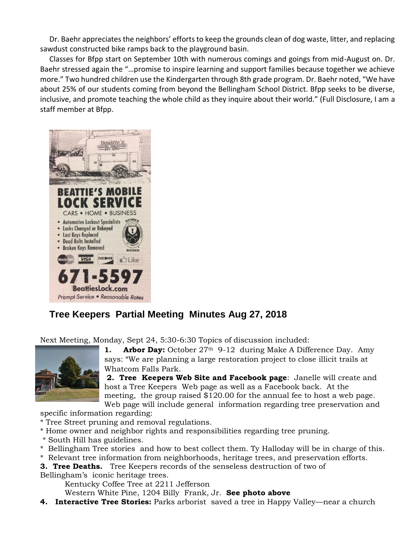Dr. Baehr appreciates the neighbors' efforts to keep the grounds clean of dog waste, litter, and replacing sawdust constructed bike ramps back to the playground basin.

Classes for Bfpp start on September 10th with numerous comings and goings from mid-August on. Dr. Baehr stressed again the "…promise to inspire learning and support families because together we achieve more." Two hundred children use the Kindergarten through 8th grade program. Dr. Baehr noted, "We have about 25% of our students coming from beyond the Bellingham School District. Bfpp seeks to be diverse, inclusive, and promote teaching the whole child as they inquire about their world." (Full Disclosure, I am a staff member at Bfpp.



# **Tree Keepers Partial Meeting Minutes Aug 27, 2018**

Next Meeting, Monday, Sept 24, 5:30-6:30 Topics of discussion included:



**1. Arbor Day:** October 27<sup>th</sup> 9-12 during Make A Difference Day. Amy says: "We are planning a large restoration project to close illicit trails at Whatcom Falls Park.

**2. Tree Keepers Web Site and Facebook page**: Janelle will create and host a Tree Keepers Web page as well as a Facebook back. At the meeting, the group raised \$120.00 for the annual fee to host a web page. Web page will include general information regarding tree preservation and

specific information regarding:

\* Tree Street pruning and removal regulations.

- \* Home owner and neighbor rights and responsibilities regarding tree pruning.
- \* South Hill has guidelines.
- \* Bellingham Tree stories and how to best collect them. Ty Halloday will be in charge of this.
- \* Relevant tree information from neighborhoods, heritage trees, and preservation efforts.
- **3. Tree Deaths.** Tree Keepers records of the senseless destruction of two of Bellingham's iconic heritage trees.

Kentucky Coffee Tree at 2211 Jefferson

Western White Pine, 1204 Billy Frank, Jr. **See photo above**

**4. Interactive Tree Stories:** Parks arborist saved a tree in Happy Valley—near a church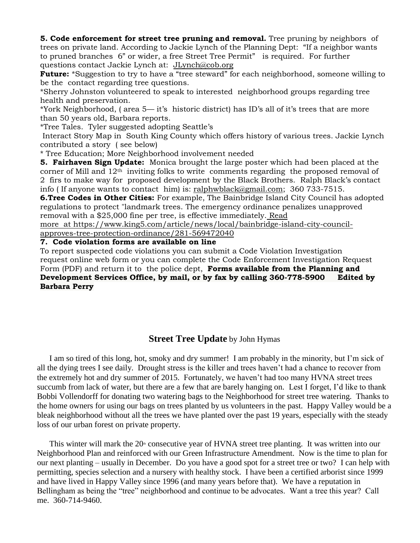**5. Code enforcement for street tree pruning and removal.** Tree pruning by neighbors of trees on private land. According to Jackie Lynch of the Planning Dept: "If a neighbor wants to pruned branches 6" or wider, a free Street Tree Permit" is required. For further questions contact Jackie Lynch at: [JLynch@cob.org](mailto:JLynch@cob.org)

**Future:** \*Suggestion to try to have a "tree steward" for each neighborhood, someone willing to be the contact regarding tree questions.

\*Sherry Johnston volunteered to speak to interested neighborhood groups regarding tree health and preservation.

\*York Neighborhood, ( area 5— it's historic district) has ID's all of it's trees that are more than 50 years old, Barbara reports.

\*Tree Tales. Tyler suggested adopting Seattle's

Interact Story Map in South King County which offers history of various trees. Jackie Lynch contributed a story ( see below)

\* Tree Education; More Neighborhood involvement needed

**5. Fairhaven Sign Update:** Monica brought the large poster which had been placed at the corner of Mill and  $12<sup>th</sup>$  inviting folks to write comments regarding the proposed removal of 2 firs to make way for proposed development by the Black Brothers. Ralph Black's contact info ( If anyone wants to contact him) is: [ralphwblack@gmail.com;](mailto:ralphwblack@gmail.com) 360 733-7515.

**6.Tree Codes in Other Cities:** For example, The Bainbridge Island City Council has adopted regulations to protect "landmark trees. The emergency ordinance penalizes unapproved removal with a \$25,000 fine per tree, is effective immediately. Read

more at [https://www.king5.com/article/news/local/bainbridge-island-city-council-](https://www.king5.com/article/news/local/bainbridge-island-city-council-approves-tree-protection-ordinance/281-569472040)

[approves-tree-protection-ordinance/281-569472040](https://www.king5.com/article/news/local/bainbridge-island-city-council-approves-tree-protection-ordinance/281-569472040)

**7. Code violation forms are available on line**

To report suspected code violations you can submit a Code Violation Investigation request online web form or you can complete the Code Enforcement Investigation Request Form (PDF) and return it to the police dept, **Forms available from the Planning and Development Services Office, by mail, or by fax by calling 360-778-5900 Edited by Barbara Perry**

### **Street Tree Update** by John Hymas

I am so tired of this long, hot, smoky and dry summer! I am probably in the minority, but I'm sick of all the dying trees I see daily. Drought stress is the killer and trees haven't had a chance to recover from the extremely hot and dry summer of 2015. Fortunately, we haven't had too many HVNA street trees succumb from lack of water, but there are a few that are barely hanging on. Lest I forget, I'd like to thank Bobbi Vollendorff for donating two watering bags to the Neighborhood for street tree watering. Thanks to the home owners for using our bags on trees planted by us volunteers in the past. Happy Valley would be a bleak neighborhood without all the trees we have planted over the past 19 years, especially with the steady loss of our urban forest on private property.

This winter will mark the  $20<sup>*</sup>$  consecutive year of HVNA street tree planting. It was written into our Neighborhood Plan and reinforced with our Green Infrastructure Amendment. Now is the time to plan for our next planting – usually in December. Do you have a good spot for a street tree or two? I can help with permitting, species selection and a nursery with healthy stock. I have been a certified arborist since 1999 and have lived in Happy Valley since 1996 (and many years before that). We have a reputation in Bellingham as being the "tree" neighborhood and continue to be advocates. Want a tree this year? Call me. 360-714-9460.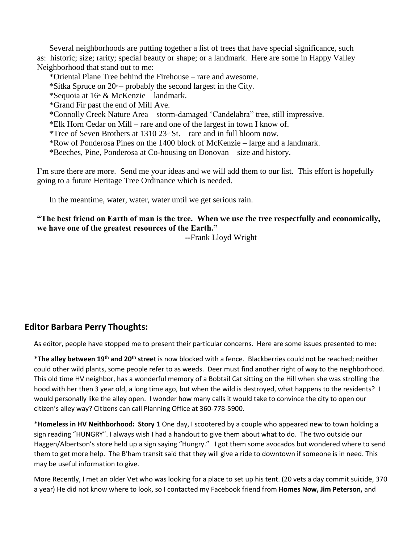Several neighborhoods are putting together a list of trees that have special significance, such as: historic; size; rarity; special beauty or shape; or a landmark. Here are some in Happy Valley Neighborhood that stand out to me:

\*Oriental Plane Tree behind the Firehouse – rare and awesome.

\*Sitka Spruce on  $20<sup>n</sup>$  – probably the second largest in the City.

\*Sequoia at  $16 \text{ m} \& \text{McKenzie} - \text{landmark.}$ 

\*Grand Fir past the end of Mill Ave.

\*Connolly Creek Nature Area – storm-damaged 'Candelabra" tree, still impressive.

\*Elk Horn Cedar on Mill – rare and one of the largest in town I know of.

\*Tree of Seven Brothers at 1310  $23^{\omega}$  St. – rare and in full bloom now.

\*Row of Ponderosa Pines on the 1400 block of McKenzie – large and a landmark.

\*Beeches, Pine, Ponderosa at Co-housing on Donovan – size and history.

I'm sure there are more. Send me your ideas and we will add them to our list. This effort is hopefully going to a future Heritage Tree Ordinance which is needed.

In the meantime, water, water, water until we get serious rain.

### **"The best friend on Earth of man is the tree. When we use the tree respectfully and economically, we have one of the greatest resources of the Earth."**

 **--**Frank Lloyd Wright

#### **Editor Barbara Perry Thoughts:**

As editor, people have stopped me to present their particular concerns. Here are some issues presented to me:

**\*The alley between 19th and 20th stree**t is now blocked with a fence. Blackberries could not be reached; neither could other wild plants, some people refer to as weeds. Deer must find another right of way to the neighborhood. This old time HV neighbor, has a wonderful memory of a Bobtail Cat sitting on the Hill when she was strolling the hood with her then 3 year old, a long time ago, but when the wild is destroyed, what happens to the residents? I would personally like the alley open. I wonder how many calls it would take to convince the city to open our citizen's alley way? Citizens can call Planning Office at 360-778-5900.

\***Homeless in HV Neithborhood: Story 1** One day, I scootered by a couple who appeared new to town holding a sign reading "HUNGRY". I always wish I had a handout to give them about what to do. The two outside our Haggen/Albertson's store held up a sign saying "Hungry." I got them some avocados but wondered where to send them to get more help. The B'ham transit said that they will give a ride to downtown if someone is in need. This may be useful information to give.

More Recently, I met an older Vet who was looking for a place to set up his tent. (20 vets a day commit suicide, 370 a year) He did not know where to look, so I contacted my Facebook friend from **Homes Now, Jim Peterson,** and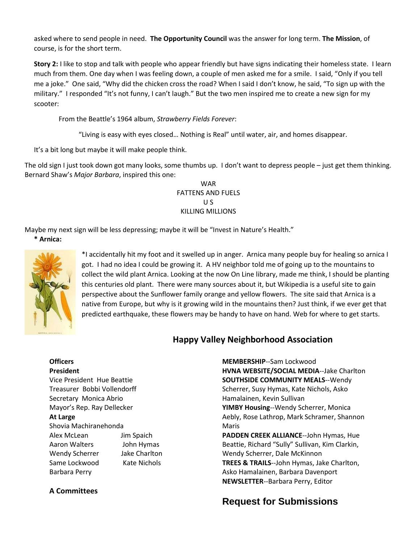asked where to send people in need. **The Opportunity Council** was the answer for long term. **The Mission**, of course, is for the short term.

**Story 2:** I like to stop and talk with people who appear friendly but have signs indicating their homeless state. I learn much from them. One day when I was feeling down, a couple of men asked me for a smile. I said, "Only if you tell me a joke." One said, "Why did the chicken cross the road? When I said I don't know, he said, "To sign up with the military." I responded "It's not funny, I can't laugh." But the two men inspired me to create a new sign for my scooter:

From the Beattle's 1964 album, *Strawberry Fields Forever*:

"Living is easy with eyes closed… Nothing is Real" until water, air, and homes disappear.

It's a bit long but maybe it will make people think.

The old sign I just took down got many looks, some thumbs up. I don't want to depress people – just get them thinking. Bernard Shaw's *Major Barbara*, inspired this one:

> WAR FATTENS AND FUELS U S KILLING MILLIONS

Maybe my next sign will be less depressing; maybe it will be "Invest in Nature's Health."

**\* Arnica:**



\*I accidentally hit my foot and it swelled up in anger. Arnica many people buy for healing so arnica I got. I had no idea I could be growing it. A HV neighbor told me of going up to the mountains to collect the wild plant Arnica. Looking at the now On Line library, made me think, I should be planting this centuries old plant. There were many sources about it, but Wikipedia is a useful site to gain perspective about the Sunflower family orange and yellow flowers. The site said that Arnica is a native from Europe, but why is it growing wild in the mountains then? Just think, if we ever get that predicted earthquake, these flowers may be handy to have on hand. Web for where to get starts.

### **Happy Valley Neighborhood Association**

### **Officers**

**President** Vice President Hue Beattie Treasurer Bobbi Vollendorff Secretary Monica Abrio Mayor's Rep. Ray Dellecker **At Large** Shovia Machiranehonda

| Shovia Machiranehonda |                      |
|-----------------------|----------------------|
| Alex McLean           | Jim Spaich           |
| Aaron Walters         | John Hymas           |
| <b>Wendy Scherrer</b> | <b>Jake Charlton</b> |
| Same Lockwood         | Kate Nichols         |
| <b>Barbara Perry</b>  |                      |

**A Committees**

**MEMBERSHIP**--Sam Lockwood **HVNA WEBSITE/SOCIAL MEDIA**--Jake Charlton **SOUTHSIDE COMMUNITY MEALS**--Wendy Scherrer, Susy Hymas, Kate Nichols, Asko Hamalainen, Kevin Sullivan **YIMBY Housing**--Wendy Scherrer, Monica Aebly, Rose Lathrop, Mark Schramer, Shannon Maris **PADDEN CREEK ALLIANCE**--John Hymas, Hue Beattie, Richard "Sully" Sullivan, Kim Clarkin, Wendy Scherrer, Dale McKinnon **TREES & TRAILS**--John Hymas, Jake Charlton, Asko Hamalainen, Barbara Davenport **NEWSLETTER**--Barbara Perry, Editor

# **Request for Submissions**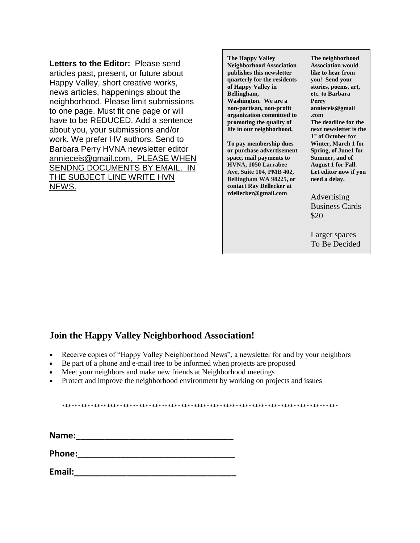**Letters to the Editor:** Please send articles past, present, or future about Happy Valley, short creative works, news articles, happenings about the neighborhood. Please limit submissions to one page. Must fit one page or will have to be REDUCED. Add a sentence about you, your submissions and/or work. We prefer HV authors. Send to Barbara Perry HVNA newsletter editor [annieceis@gmail.com,](mailto:annieceis@gmail.com) PLEASE WHEN SENDNG DOCUMENTS BY EMAIL. IN THE SUBJECT LINE WRITE HVN NEWS.

**The Happy Valley Neighborhood Association publishes this newsletter quarterly for the residents of Happy Valley in Bellingham, Washington. We are a non-partisan, non-profit organization committed to promoting the quality of life in our neighborhood.** 

**To pay membership dues or purchase advertisement space, mail payments to HVNA, 1050 Larrabee Ave, Suite 104, PMB 402, Bellingham WA 98225, or contact Ray Dellecker at rdellecker@gmail.com** 

**The neighborhood Association would like to hear from you! Send your stories, poems, art, etc. to Barbara Perry annieceis@gmail .com The deadline for the next newsletter is the 1 st of October for Winter, March 1 for Spring, of June1 for Summer, and of August 1 for Fall. Let editor now if you need a delay.**

Advertising Business Cards \$20

Larger spaces To Be Decided

### **Join the Happy Valley Neighborhood Association!**

- Receive copies of "Happy Valley Neighborhood News", a newsletter for and by your neighbors
- Be part of a phone and e-mail tree to be informed when projects are proposed
- Meet your neighbors and make new friends at Neighborhood meetings
- Protect and improve the neighborhood environment by working on projects and issues

\*\*\*\*\*\*\*\*\*\*\*\*\*\*\*\*\*\*\*\*\*\*\*\*\*\*\*\*\*\*\*\*\*\*\*\*\*\*\*\*\*\*\*\*\*\*\*\*\*\*\*\*\*\*\*\*\*\*\*\*\*\*\*\*\*\*\*\*\*\*\*\*\*\*\*\*\*\*\*\*\*\*\*\*\*\*

**Name:\_\_\_\_\_\_\_\_\_\_\_\_\_\_\_\_\_\_\_\_\_\_\_\_\_\_\_\_\_\_\_\_\_**

**Phone:\_\_\_\_\_\_\_\_\_\_\_\_\_\_\_\_\_\_\_\_\_\_\_\_\_\_\_\_\_\_\_\_\_**

**Email:\_\_\_\_\_\_\_\_\_\_\_\_\_\_\_\_\_\_\_\_\_\_\_\_\_\_\_\_\_\_\_\_\_\_**